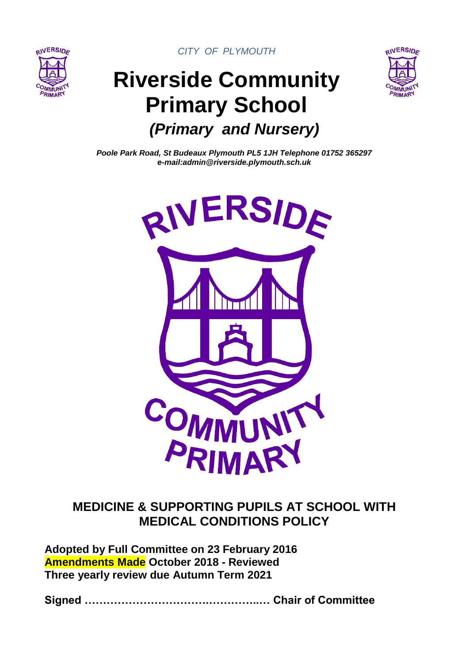

*CITY OF PLYMOUTH*

# **Riverside Community Primary School** *(Primary and Nursery)*



*Poole Park Road, St Budeaux Plymouth PL5 1JH Telephone 01752 365297 e-mail:admin@riverside.plymouth.sch.uk*



# **MEDICINE & SUPPORTING PUPILS AT SCHOOL WITH MEDICAL CONDITIONS POLICY**

**Adopted by Full Committee on 23 February 2016 Amendments Made October 2018 - Reviewed Three yearly review due Autumn Term 2021**

**Signed …………………………….…………..… Chair of Committee**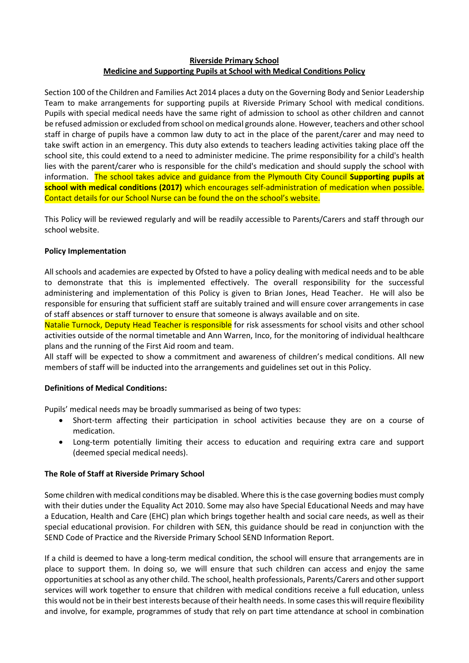# **Riverside Primary School Medicine and Supporting Pupils at School with Medical Conditions Policy**

Section 100 of the Children and Families Act 2014 places a duty on the Governing Body and Senior Leadership Team to make arrangements for supporting pupils at Riverside Primary School with medical conditions. Pupils with special medical needs have the same right of admission to school as other children and cannot be refused admission or excluded from school on medical grounds alone. However, teachers and other school staff in charge of pupils have a common law duty to act in the place of the parent/carer and may need to take swift action in an emergency. This duty also extends to teachers leading activities taking place off the school site, this could extend to a need to administer medicine. The prime responsibility for a child's health lies with the parent/carer who is responsible for the child's medication and should supply the school with information. The school takes advice and guidance from the Plymouth City Council **Supporting pupils at school with medical conditions (2017)** which encourages self-administration of medication when possible. Contact details for our School Nurse can be found the on the school's website.

This Policy will be reviewed regularly and will be readily accessible to Parents/Carers and staff through our school website.

# **Policy Implementation**

All schools and academies are expected by Ofsted to have a policy dealing with medical needs and to be able to demonstrate that this is implemented effectively. The overall responsibility for the successful administering and implementation of this Policy is given to Brian Jones, Head Teacher. He will also be responsible for ensuring that sufficient staff are suitably trained and will ensure cover arrangements in case of staff absences or staff turnover to ensure that someone is always available and on site.

Natalie Turnock, Deputy Head Teacher is responsible for risk assessments for school visits and other school activities outside of the normal timetable and Ann Warren, Inco, for the monitoring of individual healthcare plans and the running of the First Aid room and team.

All staff will be expected to show a commitment and awareness of children's medical conditions. All new members of staff will be inducted into the arrangements and guidelines set out in this Policy.

#### **Definitions of Medical Conditions:**

Pupils' medical needs may be broadly summarised as being of two types:

- Short-term affecting their participation in school activities because they are on a course of medication.
- Long-term potentially limiting their access to education and requiring extra care and support (deemed special medical needs).

#### **The Role of Staff at Riverside Primary School**

Some children with medical conditions may be disabled. Where this is the case governing bodies must comply with their duties under the Equality Act 2010. Some may also have Special Educational Needs and may have a Education, Health and Care (EHC) plan which brings together health and social care needs, as well as their special educational provision. For children with SEN, this guidance should be read in conjunction with the SEND Code of Practice and the Riverside Primary School SEND Information Report.

If a child is deemed to have a long-term medical condition, the school will ensure that arrangements are in place to support them. In doing so, we will ensure that such children can access and enjoy the same opportunities at school as any other child. The school, health professionals, Parents/Carers and other support services will work together to ensure that children with medical conditions receive a full education, unless this would not be in their best interests because of their health needs. In some cases this will require flexibility and involve, for example, programmes of study that rely on part time attendance at school in combination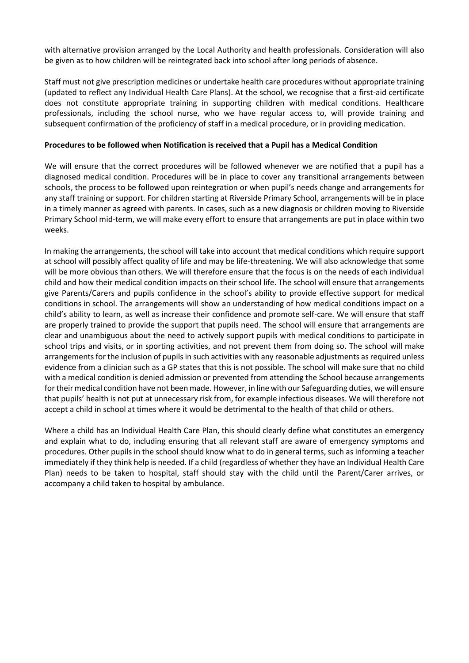with alternative provision arranged by the Local Authority and health professionals. Consideration will also be given as to how children will be reintegrated back into school after long periods of absence.

Staff must not give prescription medicines or undertake health care procedures without appropriate training (updated to reflect any Individual Health Care Plans). At the school, we recognise that a first-aid certificate does not constitute appropriate training in supporting children with medical conditions. Healthcare professionals, including the school nurse, who we have regular access to, will provide training and subsequent confirmation of the proficiency of staff in a medical procedure, or in providing medication.

#### **Procedures to be followed when Notification is received that a Pupil has a Medical Condition**

We will ensure that the correct procedures will be followed whenever we are notified that a pupil has a diagnosed medical condition. Procedures will be in place to cover any transitional arrangements between schools, the process to be followed upon reintegration or when pupil's needs change and arrangements for any staff training or support. For children starting at Riverside Primary School, arrangements will be in place in a timely manner as agreed with parents. In cases, such as a new diagnosis or children moving to Riverside Primary School mid-term, we will make every effort to ensure that arrangements are put in place within two weeks.

In making the arrangements, the school will take into account that medical conditions which require support at school will possibly affect quality of life and may be life-threatening. We will also acknowledge that some will be more obvious than others. We will therefore ensure that the focus is on the needs of each individual child and how their medical condition impacts on their school life. The school will ensure that arrangements give Parents/Carers and pupils confidence in the school's ability to provide effective support for medical conditions in school. The arrangements will show an understanding of how medical conditions impact on a child's ability to learn, as well as increase their confidence and promote self-care. We will ensure that staff are properly trained to provide the support that pupils need. The school will ensure that arrangements are clear and unambiguous about the need to actively support pupils with medical conditions to participate in school trips and visits, or in sporting activities, and not prevent them from doing so. The school will make arrangements for the inclusion of pupils in such activities with any reasonable adjustments as required unless evidence from a clinician such as a GP states that this is not possible. The school will make sure that no child with a medical condition is denied admission or prevented from attending the School because arrangements for their medical condition have not been made. However, in line with our Safeguarding duties, we will ensure that pupils' health is not put at unnecessary risk from, for example infectious diseases. We will therefore not accept a child in school at times where it would be detrimental to the health of that child or others.

Where a child has an Individual Health Care Plan, this should clearly define what constitutes an emergency and explain what to do, including ensuring that all relevant staff are aware of emergency symptoms and procedures. Other pupils in the school should know what to do in general terms, such as informing a teacher immediately if they think help is needed. If a child (regardless of whether they have an Individual Health Care Plan) needs to be taken to hospital, staff should stay with the child until the Parent/Carer arrives, or accompany a child taken to hospital by ambulance.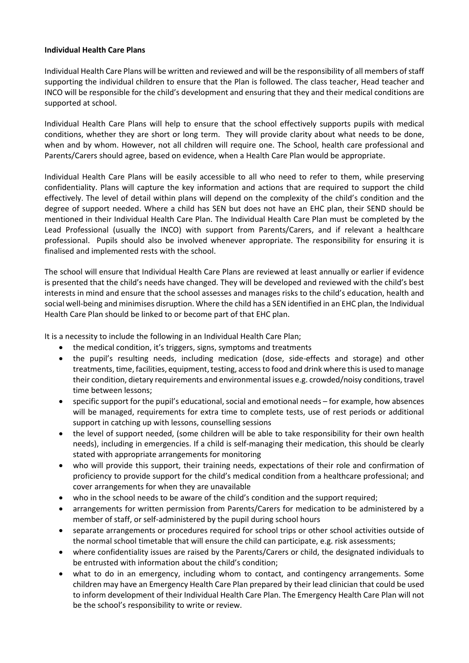#### **Individual Health Care Plans**

Individual Health Care Plans will be written and reviewed and will be the responsibility of all members of staff supporting the individual children to ensure that the Plan is followed. The class teacher, Head teacher and INCO will be responsible for the child's development and ensuring that they and their medical conditions are supported at school.

Individual Health Care Plans will help to ensure that the school effectively supports pupils with medical conditions, whether they are short or long term. They will provide clarity about what needs to be done, when and by whom. However, not all children will require one. The School, health care professional and Parents/Carers should agree, based on evidence, when a Health Care Plan would be appropriate.

Individual Health Care Plans will be easily accessible to all who need to refer to them, while preserving confidentiality. Plans will capture the key information and actions that are required to support the child effectively. The level of detail within plans will depend on the complexity of the child's condition and the degree of support needed. Where a child has SEN but does not have an EHC plan, their SEND should be mentioned in their Individual Health Care Plan. The Individual Health Care Plan must be completed by the Lead Professional (usually the INCO) with support from Parents/Carers, and if relevant a healthcare professional. Pupils should also be involved whenever appropriate. The responsibility for ensuring it is finalised and implemented rests with the school.

The school will ensure that Individual Health Care Plans are reviewed at least annually or earlier if evidence is presented that the child's needs have changed. They will be developed and reviewed with the child's best interests in mind and ensure that the school assesses and manages risks to the child's education, health and social well-being and minimises disruption. Where the child has a SEN identified in an EHC plan, the Individual Health Care Plan should be linked to or become part of that EHC plan.

It is a necessity to include the following in an Individual Health Care Plan;

- the medical condition, it's triggers, signs, symptoms and treatments
- the pupil's resulting needs, including medication (dose, side-effects and storage) and other treatments, time, facilities, equipment, testing, access to food and drink where this is used to manage their condition, dietary requirements and environmental issues e.g. crowded/noisy conditions, travel time between lessons;
- specific support for the pupil's educational, social and emotional needs for example, how absences will be managed, requirements for extra time to complete tests, use of rest periods or additional support in catching up with lessons, counselling sessions
- the level of support needed, (some children will be able to take responsibility for their own health needs), including in emergencies. If a child is self-managing their medication, this should be clearly stated with appropriate arrangements for monitoring
- who will provide this support, their training needs, expectations of their role and confirmation of proficiency to provide support for the child's medical condition from a healthcare professional; and cover arrangements for when they are unavailable
- who in the school needs to be aware of the child's condition and the support required;
- arrangements for written permission from Parents/Carers for medication to be administered by a member of staff, or self-administered by the pupil during school hours
- separate arrangements or procedures required for school trips or other school activities outside of the normal school timetable that will ensure the child can participate, e.g. risk assessments;
- where confidentiality issues are raised by the Parents/Carers or child, the designated individuals to be entrusted with information about the child's condition;
- what to do in an emergency, including whom to contact, and contingency arrangements. Some children may have an Emergency Health Care Plan prepared by their lead clinician that could be used to inform development of their Individual Health Care Plan. The Emergency Health Care Plan will not be the school's responsibility to write or review.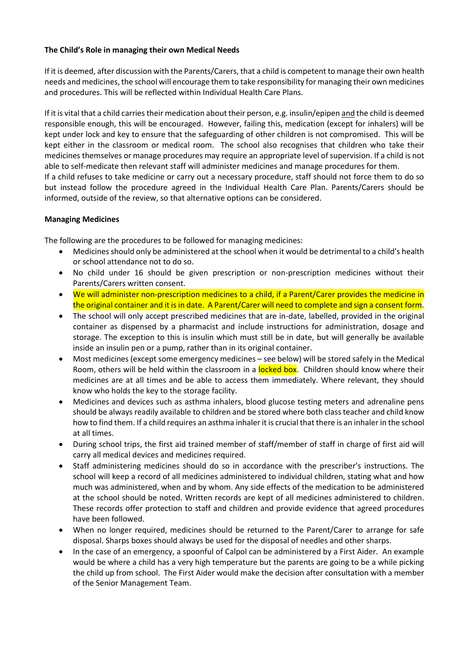# **The Child's Role in managing their own Medical Needs**

If it is deemed, after discussion with the Parents/Carers, that a child is competent to manage their own health needs and medicines, the school will encourage them to take responsibility for managing their own medicines and procedures. This will be reflected within Individual Health Care Plans.

If it is vital that a child carries their medication about their person, e.g. insulin/epipen and the child is deemed responsible enough, this will be encouraged. However, failing this, medication (except for inhalers) will be kept under lock and key to ensure that the safeguarding of other children is not compromised. This will be kept either in the classroom or medical room. The school also recognises that children who take their medicines themselves or manage procedures may require an appropriate level of supervision. If a child is not able to self-medicate then relevant staff will administer medicines and manage procedures for them.

If a child refuses to take medicine or carry out a necessary procedure, staff should not force them to do so but instead follow the procedure agreed in the Individual Health Care Plan. Parents/Carers should be informed, outside of the review, so that alternative options can be considered.

# **Managing Medicines**

The following are the procedures to be followed for managing medicines:

- Medicines should only be administered at the school when it would be detrimental to a child's health or school attendance not to do so.
- No child under 16 should be given prescription or non-prescription medicines without their Parents/Carers written consent.
- We will administer non-prescription medicines to a child, if a Parent/Carer provides the medicine in the original container and it is in date. A Parent/Carer will need to complete and sign a consent form.
- The school will only accept prescribed medicines that are in-date, labelled, provided in the original container as dispensed by a pharmacist and include instructions for administration, dosage and storage. The exception to this is insulin which must still be in date, but will generally be available inside an insulin pen or a pump, rather than in its original container.
- Most medicines (except some emergency medicines see below) will be stored safely in the Medical Room, others will be held within the classroom in a locked box. Children should know where their medicines are at all times and be able to access them immediately. Where relevant, they should know who holds the key to the storage facility.
- Medicines and devices such as asthma inhalers, blood glucose testing meters and adrenaline pens should be always readily available to children and be stored where both class teacher and child know how to find them. If a child requires an asthma inhaler it is crucial that there is an inhaler in the school at all times.
- During school trips, the first aid trained member of staff/member of staff in charge of first aid will carry all medical devices and medicines required.
- Staff administering medicines should do so in accordance with the prescriber's instructions. The school will keep a record of all medicines administered to individual children, stating what and how much was administered, when and by whom. Any side effects of the medication to be administered at the school should be noted. Written records are kept of all medicines administered to children. These records offer protection to staff and children and provide evidence that agreed procedures have been followed.
- When no longer required, medicines should be returned to the Parent/Carer to arrange for safe disposal. Sharps boxes should always be used for the disposal of needles and other sharps.
- In the case of an emergency, a spoonful of Calpol can be administered by a First Aider. An example would be where a child has a very high temperature but the parents are going to be a while picking the child up from school. The First Aider would make the decision after consultation with a member of the Senior Management Team.